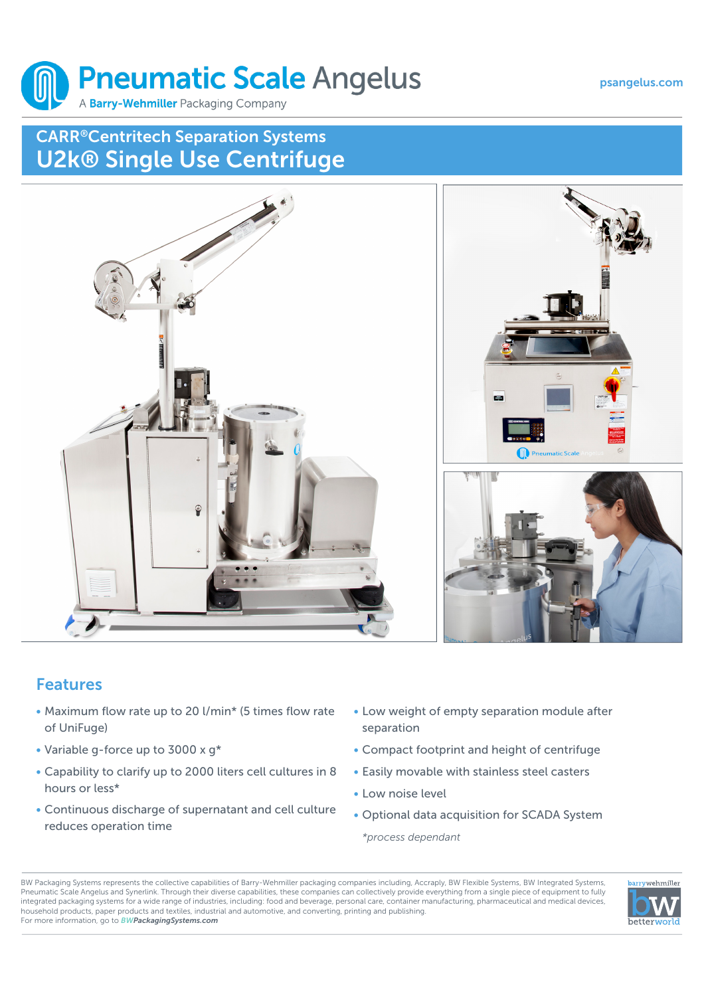#### psangelus.com



# CARR®Centritech Separation Systems U2k® Single Use Centrifuge



## Features

- Maximum flow rate up to 20 l/min\* (5 times flow rate of UniFuge)
- Variable g-force up to 3000 x g\*
- Capability to clarify up to 2000 liters cell cultures in 8 hours or less\*
- Continuous discharge of supernatant and cell culture reduces operation time
- Low weight of empty separation module after separation
- Compact footprint and height of centrifuge
- Easily movable with stainless steel casters
- Low noise level
- Optional data acquisition for SCADA System

*\*process dependant*

BW Packaging Systems represents the collective capabilities of Barry-Wehmiller packaging companies including, Accraply, BW Flexible Systems, BW Integrated Systems, Pneumatic Scale Angelus and Synerlink. Through their diverse capabilities, these companies can collectively provide everything from a single piece of equipment to fully integrated packaging systems for a wide range of industries, including: food and beverage, personal care, container manufacturing, pharmaceutical and medical devices, household products, paper products and textiles, industrial and automotive, and converting, printing and publishing. For more information, go to *BWPackagingSystems.com*